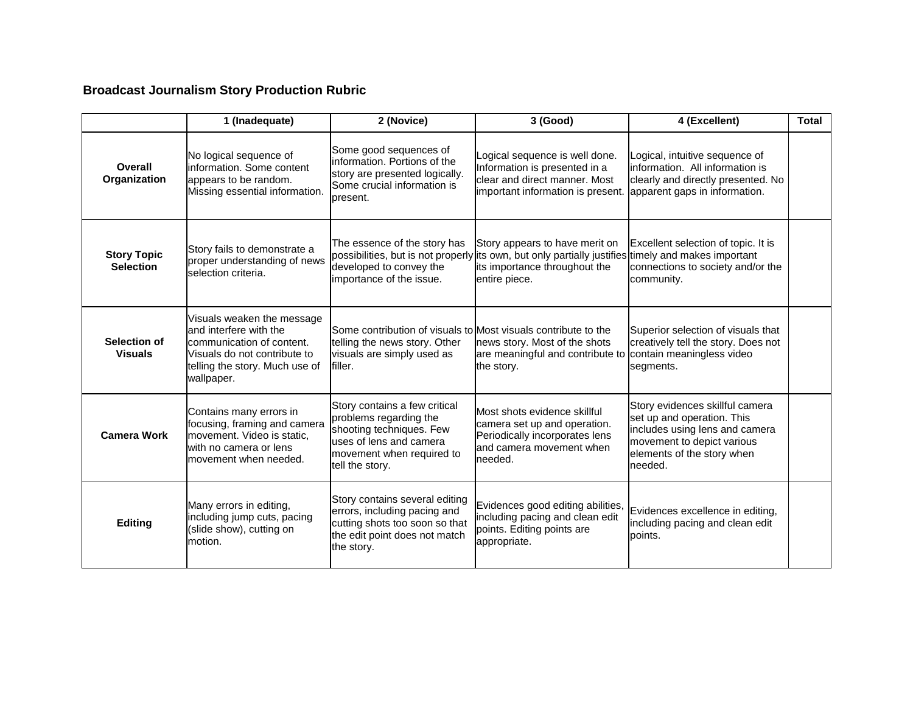## **Broadcast Journalism Story Production Rubric**

|                                        | 1 (Inadequate)                                                                                                                                                    | 2 (Novice)                                                                                                                                                     | 3 (Good)                                                                                                                              | 4 (Excellent)                                                                                                                                                          | <b>Total</b> |
|----------------------------------------|-------------------------------------------------------------------------------------------------------------------------------------------------------------------|----------------------------------------------------------------------------------------------------------------------------------------------------------------|---------------------------------------------------------------------------------------------------------------------------------------|------------------------------------------------------------------------------------------------------------------------------------------------------------------------|--------------|
| Overall<br>Organization                | No logical sequence of<br>information. Some content<br>appears to be random.<br>Missing essential information.                                                    | Some good sequences of<br>information. Portions of the<br>story are presented logically.<br>Some crucial information is<br>present.                            | Logical sequence is well done.<br>Information is presented in a<br>clear and direct manner. Most<br>important information is present. | Logical, intuitive sequence of<br>information. All information is<br>clearly and directly presented. No<br>apparent gaps in information.                               |              |
| <b>Story Topic</b><br><b>Selection</b> | Story fails to demonstrate a<br>proper understanding of news<br>selection criteria.                                                                               | The essence of the story has<br>possibilities, but is not properly<br>developed to convey the<br>importance of the issue.                                      | Story appears to have merit on<br>its own, but only partially justifies<br>its importance throughout the<br>entire piece.             | Excellent selection of topic. It is<br>timely and makes important<br>connections to society and/or the<br>community.                                                   |              |
| Selection of<br><b>Visuals</b>         | Visuals weaken the message<br>and interfere with the<br>communication of content.<br>Visuals do not contribute to<br>telling the story. Much use of<br>wallpaper. | Some contribution of visuals to Most visuals contribute to the<br>telling the news story. Other<br>visuals are simply used as<br>filler.                       | news story. Most of the shots<br>are meaningful and contribute to contain meaningless video<br>the story.                             | Superior selection of visuals that<br>creatively tell the story. Does not<br>segments.                                                                                 |              |
| <b>Camera Work</b>                     | Contains many errors in<br>focusing, framing and camera<br>movement. Video is static,<br>with no camera or lens<br>movement when needed.                          | Story contains a few critical<br>problems regarding the<br>shooting techniques. Few<br>uses of lens and camera<br>movement when required to<br>tell the story. | Most shots evidence skillful<br>camera set up and operation.<br>Periodically incorporates lens<br>and camera movement when<br>needed. | Story evidences skillful camera<br>set up and operation. This<br>includes using lens and camera<br>movement to depict various<br>elements of the story when<br>needed. |              |
| Editing                                | Many errors in editing,<br>including jump cuts, pacing<br>(slide show), cutting on<br>motion.                                                                     | Story contains several editing<br>errors, including pacing and<br>cutting shots too soon so that<br>the edit point does not match<br>the story.                | Evidences good editing abilities,<br>including pacing and clean edit<br>points. Editing points are<br>appropriate.                    | Evidences excellence in editing,<br>including pacing and clean edit<br>points.                                                                                         |              |